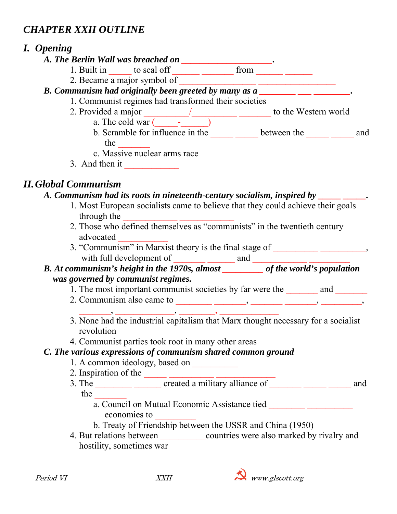# *CHAPTER XXII OUTLINE*

# *I. Opening*

- *A. The Berlin Wall was breached on \_\_\_\_\_\_\_\_\_\_\_\_\_\_\_\_\_\_\_\_.* 
	- 1. Built in  $\_\_\_\_$  to seal of  $\_\_\_\_\_\_$  from  $\_\_\_\_\_\_\_\_\_$
	- 2. Became a major symbol of \_\_\_\_\_\_\_\_\_\_\_\_\_\_\_\_\_ \_\_\_\_\_\_\_\_\_\_\_\_\_\_\_\_\_

# *B. Communism had originally been greeted by many as a \_\_\_\_\_\_\_\_ \_\_\_ \_\_\_\_\_\_\_\_*.

- 1. Communist regimes had transformed their societies
- 2. Provided a major  $\frac{1}{2}$  to the Western world
	- a. The cold war  $(\_\_\_\_\_$ b. Scramble for influence in the  $\qquad$  between the  $\qquad$  and the  $\qquad \qquad \qquad$
	- c. Massive nuclear arms race
- 3. And then it  $\frac{1}{\sqrt{1-\frac{1}{\sqrt{1-\frac{1}{\sqrt{1-\frac{1}{\sqrt{1-\frac{1}{\sqrt{1-\frac{1}{\sqrt{1-\frac{1}{\sqrt{1-\frac{1}{\sqrt{1-\frac{1}{\sqrt{1-\frac{1}{\sqrt{1-\frac{1}{\sqrt{1-\frac{1}{\sqrt{1-\frac{1}{\sqrt{1-\frac{1}{\sqrt{1-\frac{1}{\sqrt{1-\frac{1}{\sqrt{1-\frac{1}{\sqrt{1-\frac{1}{\sqrt{1-\frac{1}{\sqrt{1-\frac{1}{\sqrt{1-\frac{1}{\sqrt{1-\frac{1}{\sqrt{1-\frac{1}{\sqrt$

# *II. Global Communism*

### *A. Communism had its roots in nineteenth-century socialism, inspired by \_\_\_\_\_ \_\_\_\_\_.*

- 1. Most European socialists came to believe that they could achieve their goals through the
- 2. Those who defined themselves as "communists" in the twentieth century advocated \_\_\_\_\_\_\_\_\_\_\_
- 3. "Communism" in Marxist theory is the final stage of \_\_\_\_\_\_\_\_\_\_\_\_\_\_\_\_\_\_\_\_, with full development of  $\frac{1}{\sqrt{1-\frac{1}{2}}\sqrt{1-\frac{1}{2}}\sqrt{1-\frac{1}{2}}\sqrt{1-\frac{1}{2}}\sqrt{1-\frac{1}{2}}\sqrt{1-\frac{1}{2}}\sqrt{1-\frac{1}{2}}\sqrt{1-\frac{1}{2}}\sqrt{1-\frac{1}{2}}\sqrt{1-\frac{1}{2}}\sqrt{1-\frac{1}{2}}\sqrt{1-\frac{1}{2}}\sqrt{1-\frac{1}{2}}\sqrt{1-\frac{1}{2}}\sqrt{1-\frac{1}{2}}\sqrt{1-\frac{1}{2}}\sqrt{1-\frac{1}{2}}\sqrt{$

### *B. At communism's height in the 1970s, almost* \_\_\_\_\_\_\_\_\_ *of the world's population was governed by communist regimes.*

- 1. The most important communist societies by far were the and
- 2. Communism also came to  $\_\_\_\_\_\_\_\_\_\_\_\_\_\_\_\_\_\_\_\_\_$
- $\rightarrow$   $\_\_\_\_\_\_\_\_\_$  3. None had the industrial capitalism that Marx thought necessary for a socialist revolution
- 4. Communist parties took root in many other areas

### *C. The various expressions of communism shared common ground*

- 1. A common ideology, based on
- 2. Inspiration of the  $\frac{1}{\sqrt{2\pi}}$
- 3. The  $\frac{1}{\sqrt{3}}$  created a military alliance of  $\frac{1}{\sqrt{3}}$  and
	- the  $\Box$ 
		- a. Council on Mutual Economic Assistance tied economies to \_\_\_\_\_\_\_\_\_
		- b. Treaty of Friendship between the USSR and China (1950)
- 4. But relations between countries were also marked by rivalry and hostility, sometimes war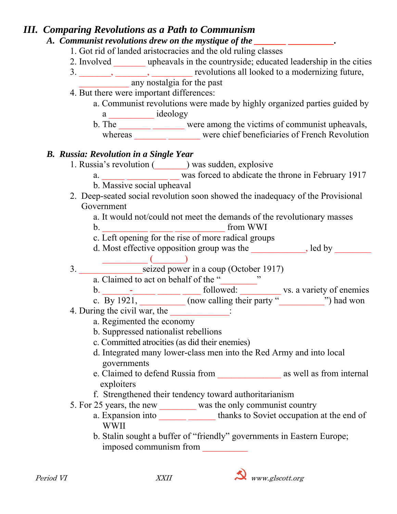### *III. Comparing Revolutions as a Path to Communism*

*A. Communist revolutions drew on the mystique of the \_\_\_\_\_\_\_\_\_\_\_\_\_\_\_\_\_\_\_\_\_\_\_\_\_\_\_*  1. Got rid of landed aristocracies and the old ruling classes 2. Involved \_\_\_\_\_\_\_ upheavals in the countryside; educated leadership in the cities 3. \_\_\_\_\_\_\_, \_\_\_\_\_\_, \_\_\_\_\_\_\_\_ revolutions all looked to a modernizing future, example any nost algia for the past 4. But there were important differences: a. Communist revolutions were made by highly organized parties guided by a \_\_\_\_\_\_\_\_\_\_ ideology b. The were among the victims of communist upheavals, whereas were chief beneficiaries of French Revolution *B. Russia: Revolution in a Single Year*  1. Russia's revolution (\_\_\_\_\_\_\_) was sudden, explosive a. Was forced to abdicate the throne in February 1917 b. Massive social upheaval 2. Deep-seated social revolution soon showed the inadequacy of the Provisional Government a. It would not/could not meet the demands of the revolutionary masses b. The state of the state of the state of the state of the state of the state of the state of the state of the state of the state of the state of the state of the state of the state of the state of the state of the state o c. Left opening for the rise of more radical groups d. Most effective opposition group was the same set of the set of the set of the set of the set of the set of the set of the set of the set of the set of the set of the set of the set of the set of the set of the set of th  $\begin{pmatrix} \frac{1}{2} & \frac{1}{2} & \frac{1}{2} & \frac{1}{2} & \frac{1}{2} & \frac{1}{2} & \frac{1}{2} & \frac{1}{2} & \frac{1}{2} & \frac{1}{2} & \frac{1}{2} & \frac{1}{2} & \frac{1}{2} & \frac{1}{2} & \frac{1}{2} & \frac{1}{2} & \frac{1}{2} & \frac{1}{2} & \frac{1}{2} & \frac{1}{2} & \frac{1}{2} & \frac{1}{2} & \frac{1}{2} & \frac{1}{2} & \frac{1}{2} & \frac{1}{2} & \frac{1}{2$  3. \_\_\_\_\_\_\_\_\_\_\_\_\_\_seized power in a coup (October 1917) a. Claimed to act on behalf of the " b.  $\qquad \qquad -$  followed:  $\qquad \qquad$  vs. a variety of enemies c. By 1921,  $\qquad \qquad$  (now calling their party " $\qquad \qquad$ ") had won 4. During the civil war, the \_\_\_\_\_\_\_\_\_\_\_\_\_: a. Regimented the economy b. Suppressed nationalist rebellions c. Committed atrocities (as did their enemies) d. Integrated many lower-class men into the Red Army and into local governments e. Claimed to defend Russia from \_\_\_\_\_\_\_\_\_\_\_\_\_\_ as well as from internal exploiters f. Strengthened their tendency toward authoritarianism 5. For 25 years, the new \_\_\_\_\_\_\_\_ was the only communist country a. Expansion into thanks to Soviet occupation at the end of WWII b. Stalin sought a buffer of "friendly" governments in Eastern Europe; imposed communism from \_\_\_\_\_\_\_\_\_\_

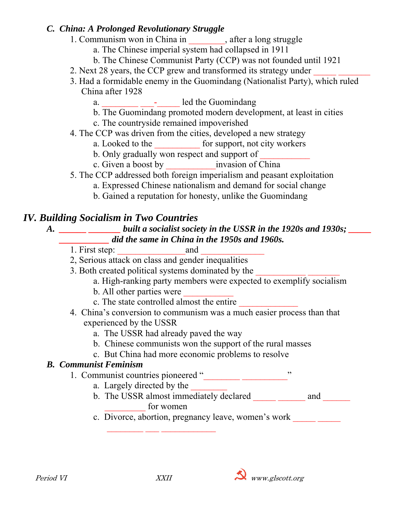#### *C. China: A Prolonged Revolutionary Struggle*

- 1. Communism won in China in  $\qquad \qquad$ , after a long struggle
	- a. The Chinese imperial system had collapsed in 1911
	- b. The Chinese Communist Party (CCP) was not founded until 1921
- 2. Next 28 years, the CCP grew and transformed its strategy under
- 3. Had a formidable enemy in the Guomindang (Nationalist Party), which ruled China after 1928
	- a.  $\frac{1}{\sqrt{2\pi}}$   $\frac{1}{\sqrt{2\pi}}$  led the Guomindang
	- b. The Guomindang promoted modern development, at least in cities
	- c. The countryside remained impoverished
- 4. The CCP was driven from the cities, developed a new strategy
	- a. Looked to the for support, not city workers
	- b. Only gradually won respect and support of
	- c. Given a boost by **c** invasion of China
- 5. The CCP addressed both foreign imperialism and peasant exploitation
	- a. Expressed Chinese nationalism and demand for social change
	- b. Gained a reputation for honesty, unlike the Guomindang

### *IV. Building Socialism in Two Countries*

#### *A. \_\_\_\_\_\_ \_\_\_\_\_\_\_ built a socialist society in the USSR in the 1920s and 1930s; \_\_\_\_\_ \_\_\_\_\_\_\_\_\_\_\_ did the same in China in the 1950s and 1960s.*

- 1. First step: and
- 2, Serious attack on class and gender inequalities
- 3. Both created political systems dominated by the
	- a. High-ranking party members were expected to exemplify socialism
	- b. All other parties were
	- c. The state controlled almost the entire
- 4. China's conversion to communism was a much easier process than that experienced by the USSR
	- a. The USSR had already paved the way
	- b. Chinese communists won the support of the rural masses
	- c. But China had more economic problems to resolve

### *B. Communist Feminism*

- 1. Communist countries pioneered "\_\_\_\_\_\_\_\_\_\_\_\_\_\_\_\_\_\_\_\_\_"
	- a. Largely directed by the

 $\mathcal{L}_\text{max} = \frac{1}{2} \sum_{i=1}^n \frac{1}{2} \sum_{i=1}^n \frac{1}{2} \sum_{i=1}^n \frac{1}{2} \sum_{i=1}^n \frac{1}{2} \sum_{i=1}^n \frac{1}{2} \sum_{i=1}^n \frac{1}{2} \sum_{i=1}^n \frac{1}{2} \sum_{i=1}^n \frac{1}{2} \sum_{i=1}^n \frac{1}{2} \sum_{i=1}^n \frac{1}{2} \sum_{i=1}^n \frac{1}{2} \sum_{i=1}^n \frac{1}{2} \sum_{i=1}^n$ 

- b. The USSR almost immediately declared \_\_\_\_\_\_\_\_\_\_\_\_\_ and \_\_\_\_\_ for women
- c. Divorce, abortion, pregnancy leave, women's work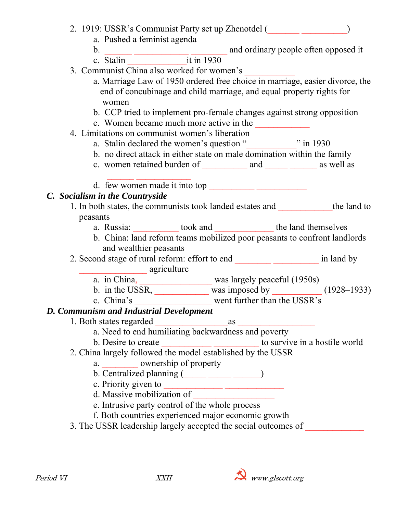| 2. 1919: USSR's Communist Party set up Zhenotdel ( |  |
|----------------------------------------------------|--|
|----------------------------------------------------|--|

a. Pushed a feminist agenda

- 
- b. \_\_\_\_\_\_ \_\_\_\_\_\_\_\_\_\_\_\_ \_\_\_\_\_\_\_\_ and ordinary people often opposed it
- c. Stalin it in 1930
- 3. Communist China also worked for women's
	- a. Marriage Law of 1950 ordered free choice in marriage, easier divorce, the end of concubinage and child marriage, and equal property rights for women
	- b. CCP tried to implement pro-female changes against strong opposition
	- c. Women became much more active in the
- 4. Limitations on communist women's liberation
	- a. Stalin declared the women's question "<br>"in 1930
	- b. no direct attack in either state on male domination within the family
	- c. women retained burden of and as well as
	- d. few women made it into top  $\frac{1}{\sqrt{1-\frac{1}{n}}\sqrt{1-\frac{1}{n}}\sqrt{1-\frac{1}{n}}\sqrt{1-\frac{1}{n}}$

### *C. Socialism in the Countryside*

- 1. In both states, the communists took landed estates and \_\_\_\_\_\_\_\_\_\_\_\_the land to peasants
	- a. Russia:  $\qquad \qquad \text{took and} \qquad \qquad \text{the land themselves}$
	- b. China: land reform teams mobilized poor peasants to confront landlords and wealthier peasants
- 2. Second stage of rural reform: effort to end \_\_\_\_\_\_\_\_\_\_\_\_\_\_\_\_\_\_\_ in land by **\_\_\_\_\_\_\_\_\_** agriculture
	- a. in China, was largely peaceful (1950s)
	- b. in the USSR, was imposed by  $\frac{1}{2}$  (1928–1933) c. China's
	- went further than the USSR's

#### *D. Communism and Industrial Development*

1. Both states regarded as

a. Need to end humiliating backwardness and poverty

- b. Desire to create \_\_\_\_\_\_\_\_\_\_\_\_\_\_\_\_\_\_\_\_\_\_\_\_\_\_\_ to survive in a hostile world
- 2. China largely followed the model established by the USSR
	- a. where ownership of property
	- b. Centralized planning  $(\_\_\_\_\_\_\_\_\_\_$
	- c. Priority given to  $\qquad \qquad$
	- d. Massive mobilization of
	- e. Intrusive party control of the whole process
	- f. Both countries experienced major economic growth
- 3. The USSR leadership largely accepted the social outcomes of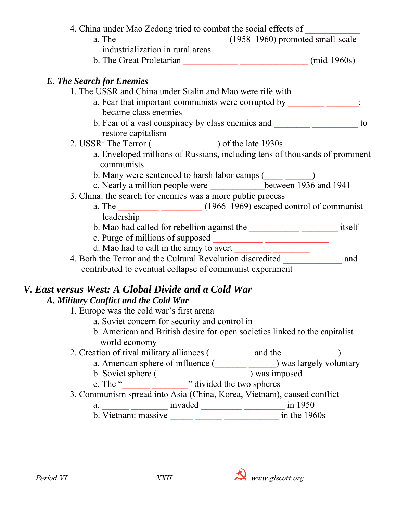| a. The                                                                           | $\frac{1}{2}$ $\frac{1}{2}$ $\frac{1}{2}$ $\frac{1}{2}$ $\frac{1}{2}$ $\frac{1}{2}$ $\frac{1}{2}$ $\frac{1}{2}$ $\frac{1}{2}$ $\frac{1}{2}$ $\frac{1}{2}$ $\frac{1}{2}$ $\frac{1}{2}$ $\frac{1}{2}$ $\frac{1}{2}$ $\frac{1}{2}$ $\frac{1}{2}$ $\frac{1}{2}$ $\frac{1}{2}$ $\frac{1}{2}$ $\frac{1}{2}$ $\frac{1}{2}$ |                       |
|----------------------------------------------------------------------------------|---------------------------------------------------------------------------------------------------------------------------------------------------------------------------------------------------------------------------------------------------------------------------------------------------------------------|-----------------------|
| industrialization in rural areas                                                 |                                                                                                                                                                                                                                                                                                                     |                       |
|                                                                                  | b. The Great Proletarian (mid-1960s)                                                                                                                                                                                                                                                                                |                       |
| <b>E. The Search for Enemies</b>                                                 |                                                                                                                                                                                                                                                                                                                     |                       |
| 1. The USSR and China under Stalin and Mao were rife with ______________________ |                                                                                                                                                                                                                                                                                                                     |                       |
| became class enemies                                                             | a. Fear that important communists were corrupted by                                                                                                                                                                                                                                                                 |                       |
|                                                                                  |                                                                                                                                                                                                                                                                                                                     | to                    |
| restore capitalism<br>2. USSR: The Terror (                                      | $\frac{1}{2}$ of the late 1930s                                                                                                                                                                                                                                                                                     |                       |
| communists                                                                       | a. Enveloped millions of Russians, including tens of thousands of prominent                                                                                                                                                                                                                                         |                       |
|                                                                                  | b. Many were sentenced to harsh labor camps (                                                                                                                                                                                                                                                                       |                       |
|                                                                                  | c. Nearly a million people were ________________between 1936 and 1941                                                                                                                                                                                                                                               |                       |
| 3. China: the search for enemies was a more public process                       |                                                                                                                                                                                                                                                                                                                     |                       |
| a. The                                                                           | $\frac{1966-1969}{2}$ (1966–1969) escaped control of communist                                                                                                                                                                                                                                                      |                       |
| leadership                                                                       |                                                                                                                                                                                                                                                                                                                     |                       |
|                                                                                  |                                                                                                                                                                                                                                                                                                                     | itself                |
|                                                                                  |                                                                                                                                                                                                                                                                                                                     |                       |
|                                                                                  | d. Mao had to call in the army to avert                                                                                                                                                                                                                                                                             |                       |
| 4. Both the Terror and the Cultural Revolution discredited                       |                                                                                                                                                                                                                                                                                                                     | and                   |
|                                                                                  | contributed to eventual collapse of communist experiment                                                                                                                                                                                                                                                            |                       |
| V. East versus West: A Global Divide and a Cold War                              |                                                                                                                                                                                                                                                                                                                     |                       |
| A. Military Conflict and the Cold War                                            |                                                                                                                                                                                                                                                                                                                     |                       |
| 1. Europe was the cold war's first arena                                         |                                                                                                                                                                                                                                                                                                                     |                       |
| a. Soviet concern for security and control in                                    |                                                                                                                                                                                                                                                                                                                     |                       |
| world economy                                                                    | b. American and British desire for open societies linked to the capitalist                                                                                                                                                                                                                                          |                       |
| 2. Creation of rival military alliances (                                        | and the                                                                                                                                                                                                                                                                                                             |                       |
| a. American sphere of influence (                                                |                                                                                                                                                                                                                                                                                                                     | was largely voluntary |
| b. Soviet sphere (                                                               | was imposed                                                                                                                                                                                                                                                                                                         |                       |
| $Th \sim 44$                                                                     | $\overline{w}$ divided the<br>trizac                                                                                                                                                                                                                                                                                |                       |

- c. The " winded the two spheres
- 3. Communism spread into Asia (China, Korea, Vietnam), caused conflict
- a. <u>invaded</u> in 1950
- b. Vietnam: massive and the 1960s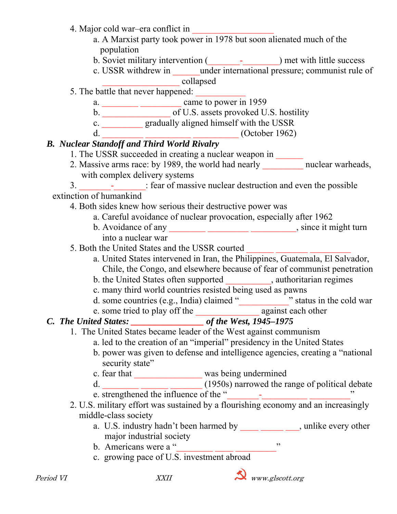| 4. Major cold war–era conflict in                                                                                                                        |                                                                                    |  |  |
|----------------------------------------------------------------------------------------------------------------------------------------------------------|------------------------------------------------------------------------------------|--|--|
|                                                                                                                                                          | a. A Marxist party took power in 1978 but soon alienated much of the               |  |  |
| population                                                                                                                                               |                                                                                    |  |  |
|                                                                                                                                                          |                                                                                    |  |  |
|                                                                                                                                                          | c. USSR withdrew in ______ under international pressure; communist rule of         |  |  |
|                                                                                                                                                          | collapsed                                                                          |  |  |
| 5. The battle that never happened:                                                                                                                       |                                                                                    |  |  |
|                                                                                                                                                          |                                                                                    |  |  |
|                                                                                                                                                          |                                                                                    |  |  |
|                                                                                                                                                          | c. ___________ gradually aligned himself with the USSR                             |  |  |
| d.                                                                                                                                                       | $\frac{1}{2}$ (October 1962)                                                       |  |  |
| <b>B.</b> Nuclear Standoff and Third World Rivalry                                                                                                       |                                                                                    |  |  |
| 1. The USSR succeeded in creating a nuclear weapon in ______                                                                                             |                                                                                    |  |  |
|                                                                                                                                                          | 2. Massive arms race: by 1989, the world had nearly ___________ nuclear warheads,  |  |  |
| with complex delivery systems                                                                                                                            |                                                                                    |  |  |
|                                                                                                                                                          | 3. - : fear of massive nuclear destruction and even the possible                   |  |  |
| extinction of humankind                                                                                                                                  |                                                                                    |  |  |
| 4. Both sides knew how serious their destructive power was                                                                                               |                                                                                    |  |  |
| a. Careful avoidance of nuclear provocation, especially after 1962                                                                                       |                                                                                    |  |  |
|                                                                                                                                                          |                                                                                    |  |  |
| into a nuclear war                                                                                                                                       |                                                                                    |  |  |
| 5. Both the United States and the USSR courted                                                                                                           |                                                                                    |  |  |
|                                                                                                                                                          | a. United States intervened in Iran, the Philippines, Guatemala, El Salvador,      |  |  |
| Chile, the Congo, and elsewhere because of fear of communist penetration                                                                                 |                                                                                    |  |  |
| b. the United States often supported ___________, authoritarian regimes                                                                                  |                                                                                    |  |  |
| c. many third world countries resisted being used as pawns                                                                                               |                                                                                    |  |  |
|                                                                                                                                                          | d. some countries (e.g., India) claimed "subsetently status in the cold war        |  |  |
|                                                                                                                                                          |                                                                                    |  |  |
|                                                                                                                                                          |                                                                                    |  |  |
|                                                                                                                                                          | 1. The United States became leader of the West against communism                   |  |  |
|                                                                                                                                                          |                                                                                    |  |  |
| a. led to the creation of an "imperial" presidency in the United States<br>b. power was given to defense and intelligence agencies, creating a "national |                                                                                    |  |  |
| security state"                                                                                                                                          |                                                                                    |  |  |
|                                                                                                                                                          |                                                                                    |  |  |
|                                                                                                                                                          | c. fear that was being undermined                                                  |  |  |
|                                                                                                                                                          | d. (1950s) narrowed the range of political debate                                  |  |  |
| e. strengthened the influence of the "                                                                                                                   |                                                                                    |  |  |
|                                                                                                                                                          | 2. U.S. military effort was sustained by a flourishing economy and an increasingly |  |  |
| middle-class society                                                                                                                                     |                                                                                    |  |  |
|                                                                                                                                                          | a. U.S. industry hadn't been harmed by _______________, unlike every other         |  |  |
| major industrial society                                                                                                                                 |                                                                                    |  |  |
| b. Americans were a "                                                                                                                                    | , 2                                                                                |  |  |
| c. growing pace of U.S. investment abroad                                                                                                                |                                                                                    |  |  |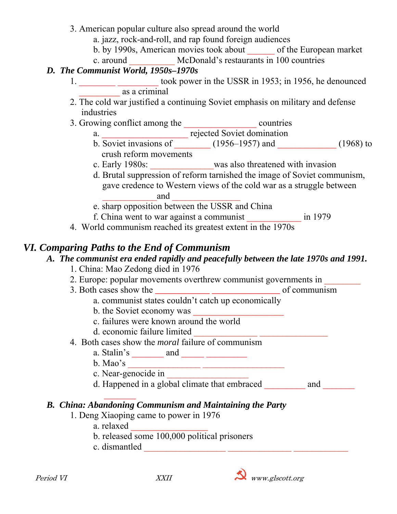- 3. American popular culture also spread around the world
	- a. jazz, rock-and-roll, and rap found foreign audiences
	- b. by 1990s, American movies took about \_\_\_\_\_\_ of the European market
	- c. around \_\_\_\_\_\_\_\_\_\_ McDonald's restaurants in 100 countries

### *D. The Communist World, 1950s–1970s*

- 1. \_\_\_\_\_\_\_\_\_\_\_\_\_\_\_\_\_\_\_\_ took power in the USSR in 1953; in 1956, he denounced  $\overline{\text{as a criminal}}$
- 2. The cold war justified a continuing Soviet emphasis on military and defense industries
- 3. Growing conflict among the countries
- a. The contraction of the contraction of the contraction of the contraction of the contraction of the contraction of the contraction of the contraction of the contraction of the contraction of the contraction of the contra
- b. Soviet invasions of  $(1956-1957)$  and  $(1968)$  to crush reform movements
	- c. Early 1980s: \_\_\_\_\_\_\_\_\_\_\_\_\_\_was also threatened with invasion
- d. Brutal suppression of reform tarnished the image of Soviet communism, gave credence to Western views of the cold war as a struggle between  $\qquad \qquad \text{and} \qquad$ 
	- e. sharp opposition between the USSR and China
	- f. China went to war against a communist \_\_\_\_\_\_\_\_\_\_\_\_ in 1979
	- 4. World communism reached its greatest extent in the 1970s

## *VI. Comparing Paths to the End of Communism*

### *A. The communist era ended rapidly and peacefully between the late 1970s and 1991.*

- 1. China: Mao Zedong died in 1976
- 2. Europe: popular movements overthrew communist governments in
- 3. Both cases show the *\_\_\_\_\_\_\_\_\_\_\_\_ \_\_\_\_\_\_\_\_\_\_\_\_\_\_\_* of communism
	- a. communist states couldn't catch up economically
	- b. the Soviet economy was
	- c. failures were known around the world
	- d. economic failure limited
- 4. Both cases show the *moral* failure of communism
	- a. Stalin's  $\_\_\_\_\$  and  $\_\_\_\_\_\_\_\_\_\_\_$
	- b. Mao's \_\_\_\_\_\_\_\_\_\_\_\_\_\_\_\_ \_\_\_\_\_\_\_\_\_\_\_\_\_\_\_\_\_\_
	- c. Near-genocide in
	- d. Happened in a global climate that embraced and and

#### $\mathcal{L}_\text{max}$  and  $\mathcal{L}_\text{max}$  and  $\mathcal{L}_\text{max}$ *B. China: Abandoning Communism and Maintaining the Party*

- 1. Deng Xiaoping came to power in 1976
	- a. relaxed \_\_\_\_\_\_\_\_\_\_\_\_\_\_\_\_\_
	- b. released some 100,000 political prisoners
	- c. dismantled \_\_\_\_\_\_\_\_\_\_\_\_\_\_\_\_\_\_ \_\_\_\_\_\_\_\_\_\_\_\_\_\_ \_\_\_\_\_\_\_\_\_\_\_\_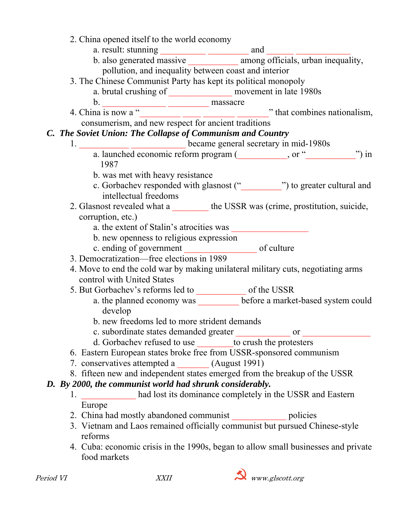| 2. China opened itself to the world economy                                                                                               |  |       |
|-------------------------------------------------------------------------------------------------------------------------------------------|--|-------|
|                                                                                                                                           |  |       |
|                                                                                                                                           |  |       |
| pollution, and inequality between coast and interior                                                                                      |  |       |
| 3. The Chinese Communist Party has kept its political monopoly                                                                            |  |       |
| a. brutal crushing of ____________________ movement in late 1980s                                                                         |  |       |
|                                                                                                                                           |  |       |
| 4. China is now a "<br>China is now a " $\frac{1}{2}$ on $\frac{1}{2}$ and new respect for ancient traditions" that combines nationalism, |  |       |
|                                                                                                                                           |  |       |
| C. The Soviet Union: The Collapse of Communism and Country                                                                                |  |       |
| 1. became general secretary in mid-1980s                                                                                                  |  |       |
| a. launched economic reform program (see the same set of "substitutional contract of "substitution").                                     |  | ") in |
| 1987                                                                                                                                      |  |       |
| b. was met with heavy resistance                                                                                                          |  |       |
| c. Gorbachev responded with glasnost ("___________") to greater cultural and                                                              |  |       |
| intellectual freedoms                                                                                                                     |  |       |
| 2. Glasnost revealed what a _________ the USSR was (crime, prostitution, suicide,                                                         |  |       |
| corruption, etc.)                                                                                                                         |  |       |
| a. the extent of Stalin's atrocities was                                                                                                  |  |       |
| b. new openness to religious expression                                                                                                   |  |       |
|                                                                                                                                           |  |       |
| 3. Democratization—free elections in 1989                                                                                                 |  |       |
| 4. Move to end the cold war by making unilateral military cuts, negotiating arms                                                          |  |       |
| control with United States                                                                                                                |  |       |
|                                                                                                                                           |  |       |
| a. the planned economy was __________ before a market-based system could<br>develop                                                       |  |       |
| b. new freedoms led to more strident demands                                                                                              |  |       |
| c. subordinate states demanded greater _________________ or ____________                                                                  |  |       |
| d. Gorbachev refused to use _________ to crush the protesters                                                                             |  |       |
| 6. Eastern European states broke free from USSR-sponsored communism                                                                       |  |       |
| 7. conservatives attempted a (August 1991)                                                                                                |  |       |
| 8. fifteen new and independent states emerged from the breakup of the USSR                                                                |  |       |
| D. By 2000, the communist world had shrunk considerably.                                                                                  |  |       |
| 1. had lost its dominance completely in the USSR and Eastern                                                                              |  |       |
| Europe                                                                                                                                    |  |       |
| 2. China had mostly abandoned communist _________________ policies                                                                        |  |       |
| 3. Vietnam and Laos remained officially communist but pursued Chinese-style<br>reforms                                                    |  |       |
| 4. Cuba: economic crisis in the 1990s, began to allow small businesses and private<br>food markets                                        |  |       |
|                                                                                                                                           |  |       |